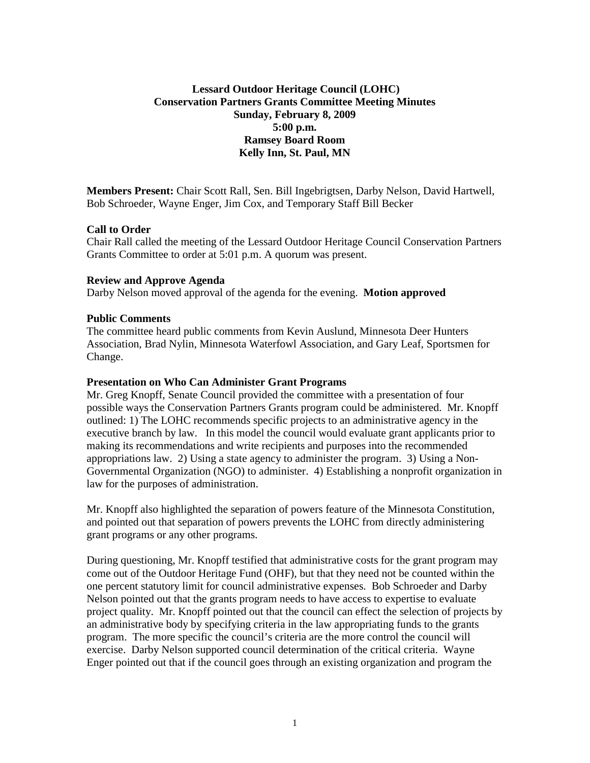# **Lessard Outdoor Heritage Council (LOHC) Conservation Partners Grants Committee Meeting Minutes Sunday, February 8, 2009 5:00 p.m. Ramsey Board Room Kelly Inn, St. Paul, MN**

**Members Present:** Chair Scott Rall, Sen. Bill Ingebrigtsen, Darby Nelson, David Hartwell, Bob Schroeder, Wayne Enger, Jim Cox, and Temporary Staff Bill Becker

### **Call to Order**

Chair Rall called the meeting of the Lessard Outdoor Heritage Council Conservation Partners Grants Committee to order at 5:01 p.m. A quorum was present.

### **Review and Approve Agenda**

Darby Nelson moved approval of the agenda for the evening. **Motion approved**

#### **Public Comments**

The committee heard public comments from Kevin Auslund, Minnesota Deer Hunters Association, Brad Nylin, Minnesota Waterfowl Association, and Gary Leaf, Sportsmen for Change.

#### **Presentation on Who Can Administer Grant Programs**

Mr. Greg Knopff, Senate Council provided the committee with a presentation of four possible ways the Conservation Partners Grants program could be administered. Mr. Knopff outlined: 1) The LOHC recommends specific projects to an administrative agency in the executive branch by law. In this model the council would evaluate grant applicants prior to making its recommendations and write recipients and purposes into the recommended appropriations law. 2) Using a state agency to administer the program. 3) Using a Non-Governmental Organization (NGO) to administer. 4) Establishing a nonprofit organization in law for the purposes of administration.

Mr. Knopff also highlighted the separation of powers feature of the Minnesota Constitution, and pointed out that separation of powers prevents the LOHC from directly administering grant programs or any other programs.

During questioning, Mr. Knopff testified that administrative costs for the grant program may come out of the Outdoor Heritage Fund (OHF), but that they need not be counted within the one percent statutory limit for council administrative expenses. Bob Schroeder and Darby Nelson pointed out that the grants program needs to have access to expertise to evaluate project quality. Mr. Knopff pointed out that the council can effect the selection of projects by an administrative body by specifying criteria in the law appropriating funds to the grants program. The more specific the council's criteria are the more control the council will exercise. Darby Nelson supported council determination of the critical criteria. Wayne Enger pointed out that if the council goes through an existing organization and program the